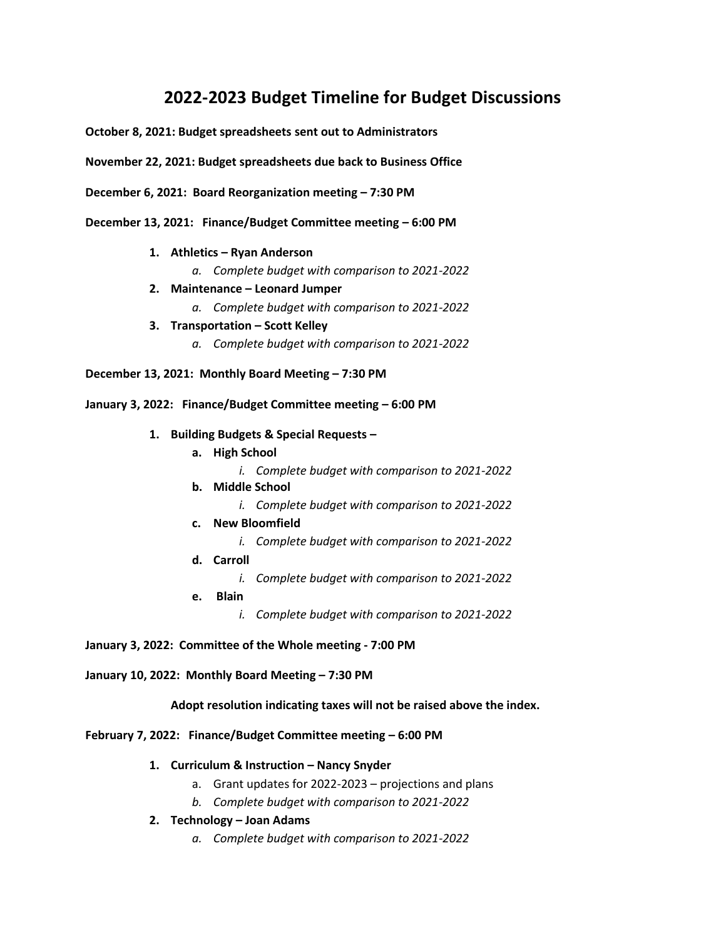## **2022-2023 Budget Timeline for Budget Discussions**

**October 8, 2021: Budget spreadsheets sent out to Administrators**

**November 22, 2021: Budget spreadsheets due back to Business Office**

**December 6, 2021: Board Reorganization meeting – 7:30 PM**

- **December 13, 2021: Finance/Budget Committee meeting – 6:00 PM**
	- **1. Athletics – Ryan Anderson**
		- *a. Complete budget with comparison to 2021-2022*
	- **2. Maintenance – Leonard Jumper**
		- *a. Complete budget with comparison to 2021-2022*
	- **3. Transportation – Scott Kelley**
		- *a. Complete budget with comparison to 2021-2022*

**December 13, 2021: Monthly Board Meeting – 7:30 PM**

## **January 3, 2022: Finance/Budget Committee meeting – 6:00 PM**

- **1. Building Budgets & Special Requests –**
	- **a. High School**
		- *i. Complete budget with comparison to 2021-2022*
	- **b. Middle School** *i. Complete budget with comparison to 2021-2022*
	- **c. New Bloomfield**
		- *i. Complete budget with comparison to 2021-2022*
	- **d. Carroll**
		- *i. Complete budget with comparison to 2021-2022*
	- **e. Blain** 
		- *i. Complete budget with comparison to 2021-2022*

**January 3, 2022: Committee of the Whole meeting - 7:00 PM**

**January 10, 2022: Monthly Board Meeting – 7:30 PM**

**Adopt resolution indicating taxes will not be raised above the index.**

**February 7, 2022: Finance/Budget Committee meeting – 6:00 PM**

- **1. Curriculum & Instruction – Nancy Snyder**
	- a. Grant updates for 2022-2023 projections and plans
	- *b. Complete budget with comparison to 2021-2022*
- **2. Technology – Joan Adams**
	- *a. Complete budget with comparison to 2021-2022*